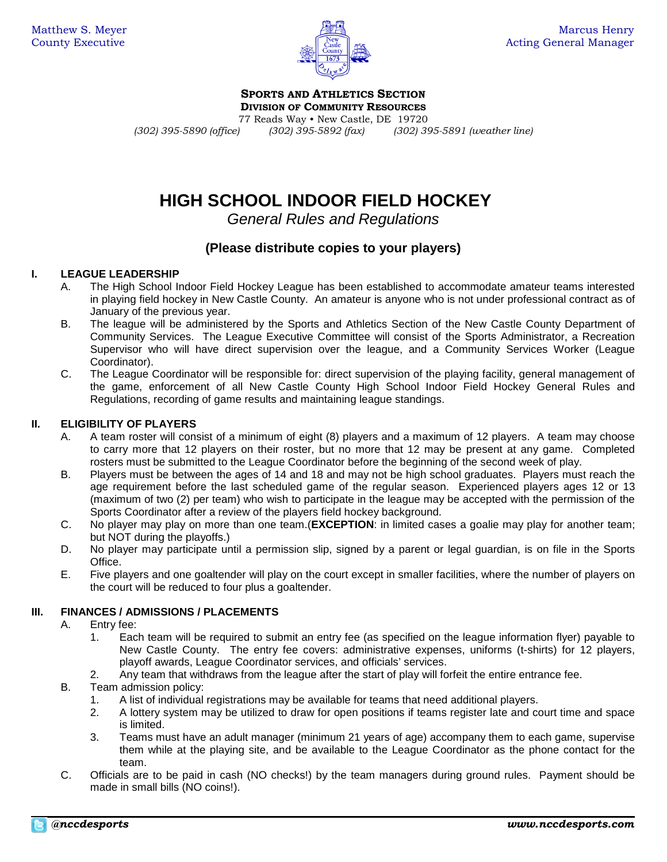

**SPORTS AND ATHLETICS SECTION**

**DIVISION OF COMMUNITY RESOURCES**

77 Reads Way • New Castle, DE 19720<br>77 (302) 395-5890 (office) (302) 395-5892 (fax) (302) 395-6892

*(302) 395-5890 (office) (302) 395-5892 (fax) (302) 395-5891 (weather line)*

# **HIGH SCHOOL INDOOR FIELD HOCKEY**

*General Rules and Regulations*

# **(Please distribute copies to your players)**

# **I. LEAGUE LEADERSHIP**

- A. The High School Indoor Field Hockey League has been established to accommodate amateur teams interested in playing field hockey in New Castle County. An amateur is anyone who is not under professional contract as of January of the previous year.
- B. The league will be administered by the Sports and Athletics Section of the New Castle County Department of Community Services. The League Executive Committee will consist of the Sports Administrator, a Recreation Supervisor who will have direct supervision over the league, and a Community Services Worker (League Coordinator).
- C. The League Coordinator will be responsible for: direct supervision of the playing facility, general management of the game, enforcement of all New Castle County High School Indoor Field Hockey General Rules and Regulations, recording of game results and maintaining league standings.

# **II. ELIGIBILITY OF PLAYERS**

- A. A team roster will consist of a minimum of eight (8) players and a maximum of 12 players. A team may choose to carry more that 12 players on their roster, but no more that 12 may be present at any game. Completed rosters must be submitted to the League Coordinator before the beginning of the second week of play.
- B. Players must be between the ages of 14 and 18 and may not be high school graduates. Players must reach the age requirement before the last scheduled game of the regular season. Experienced players ages 12 or 13 (maximum of two (2) per team) who wish to participate in the league may be accepted with the permission of the Sports Coordinator after a review of the players field hockey background.
- C. No player may play on more than one team.(**EXCEPTION**: in limited cases a goalie may play for another team; but NOT during the playoffs.)
- D. No player may participate until a permission slip, signed by a parent or legal guardian, is on file in the Sports Office.
- E. Five players and one goaltender will play on the court except in smaller facilities, where the number of players on the court will be reduced to four plus a goaltender.

# **III. FINANCES / ADMISSIONS / PLACEMENTS**

- A. Entry fee:
	- 1. Each team will be required to submit an entry fee (as specified on the league information flyer) payable to New Castle County. The entry fee covers: administrative expenses, uniforms (t-shirts) for 12 players, playoff awards, League Coordinator services, and officials' services.
	- 2. Any team that withdraws from the league after the start of play will forfeit the entire entrance fee.
- B. Team admission policy:
	- 1. A list of individual registrations may be available for teams that need additional players.
	- 2. A lottery system may be utilized to draw for open positions if teams register late and court time and space is limited.
	- 3. Teams must have an adult manager (minimum 21 years of age) accompany them to each game, supervise them while at the playing site, and be available to the League Coordinator as the phone contact for the team.
- C. Officials are to be paid in cash (NO checks!) by the team managers during ground rules. Payment should be made in small bills (NO coins!).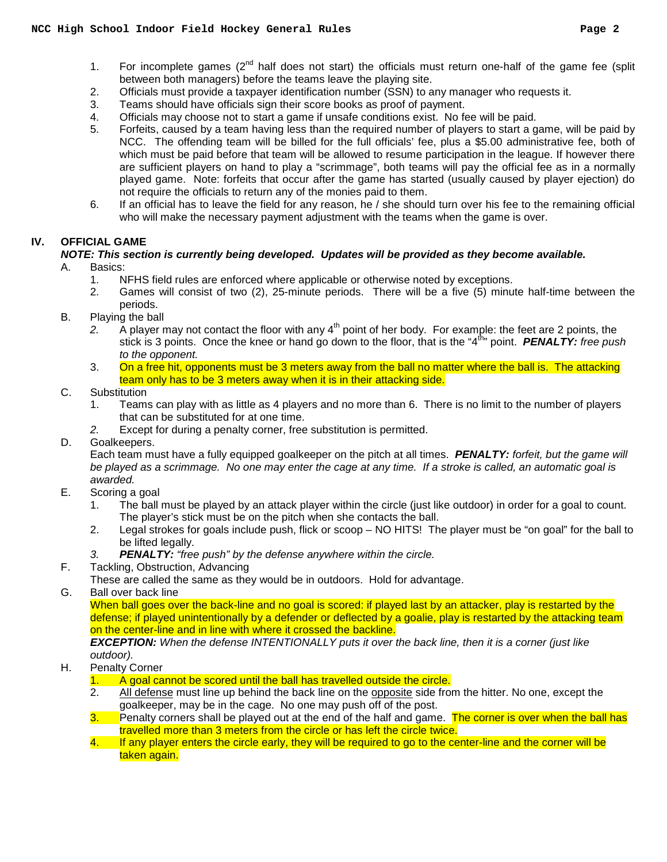- 1. For incomplete games (2<sup>nd</sup> half does not start) the officials must return one-half of the game fee (split between both managers) before the teams leave the playing site.
- 2. Officials must provide a taxpayer identification number (SSN) to any manager who requests it.
- 3. Teams should have officials sign their score books as proof of payment.
- 4. Officials may choose not to start a game if unsafe conditions exist. No fee will be paid.
- 5. Forfeits, caused by a team having less than the required number of players to start a game, will be paid by NCC. The offending team will be billed for the full officials' fee, plus a \$5.00 administrative fee, both of which must be paid before that team will be allowed to resume participation in the league. If however there are sufficient players on hand to play a "scrimmage", both teams will pay the official fee as in a normally played game. Note: forfeits that occur after the game has started (usually caused by player ejection) do not require the officials to return any of the monies paid to them.
- 6. If an official has to leave the field for any reason, he / she should turn over his fee to the remaining official who will make the necessary payment adjustment with the teams when the game is over.

## **IV. OFFICIAL GAME**

#### *NOTE: This section is currently being developed. Updates will be provided as they become available.* A. Basics:

- 
- 1. NFHS field rules are enforced where applicable or otherwise noted by exceptions.<br>2. Games will consist of two (2), 25-minute periods. There will be a five (5) minu 2. Games will consist of two (2), 25-minute periods. There will be a five (5) minute half-time between the periods.
- B. Playing the ball
	- 2. A player may not contact the floor with any 4<sup>th</sup> point of her body. For example: the feet are 2 points, the stick is 3 points. Once the knee or hand go down to the floor, that is the "4<sup>th</sup>" point. **PENALTY:** free push *to the opponent.*
	- 3. On a free hit, opponents must be 3 meters away from the ball no matter where the ball is. The attacking team only has to be 3 meters away when it is in their attacking side.
- C. Substitution
	- 1. Teams can play with as little as 4 players and no more than 6. There is no limit to the number of players that can be substituted for at one time.
	- *2.* Except for during a penalty corner, free substitution is permitted.
- D. Goalkeepers.

Each team must have a fully equipped goalkeeper on the pitch at all times. *PENALTY: forfeit, but the game will be played as a scrimmage. No one may enter the cage at any time. If a stroke is called, an automatic goal is awarded.*

- E. Scoring a goal
	- 1. The ball must be played by an attack player within the circle (just like outdoor) in order for a goal to count. The player's stick must be on the pitch when she contacts the ball.
	- 2. Legal strokes for goals include push, flick or scoop NO HITS! The player must be "on goal" for the ball to be lifted legally.
	- *3. PENALTY: "free push" by the defense anywhere within the circle.*
- F. Tackling, Obstruction, Advancing
- These are called the same as they would be in outdoors. Hold for advantage.
- G. Ball over back line

When ball goes over the back-line and no goal is scored: if played last by an attacker, play is restarted by the defense; if played unintentionally by a defender or deflected by a goalie, play is restarted by the attacking team on the center-line and in line with where it crossed the backline.

*EXCEPTION: When the defense INTENTIONALLY puts it over the back line, then it is a corner (just like outdoor).*

- H. Penalty Corner
	- 1. A goal cannot be scored until the ball has travelled outside the circle.
	- 2. All defense must line up behind the back line on the opposite side from the hitter. No one, except the goalkeeper, may be in the cage. No one may push off of the post.
	- 3. Penalty corners shall be played out at the end of the half and game. The corner is over when the ball has travelled more than 3 meters from the circle or has left the circle twice.
	- 4. If any player enters the circle early, they will be required to go to the center-line and the corner will be taken again.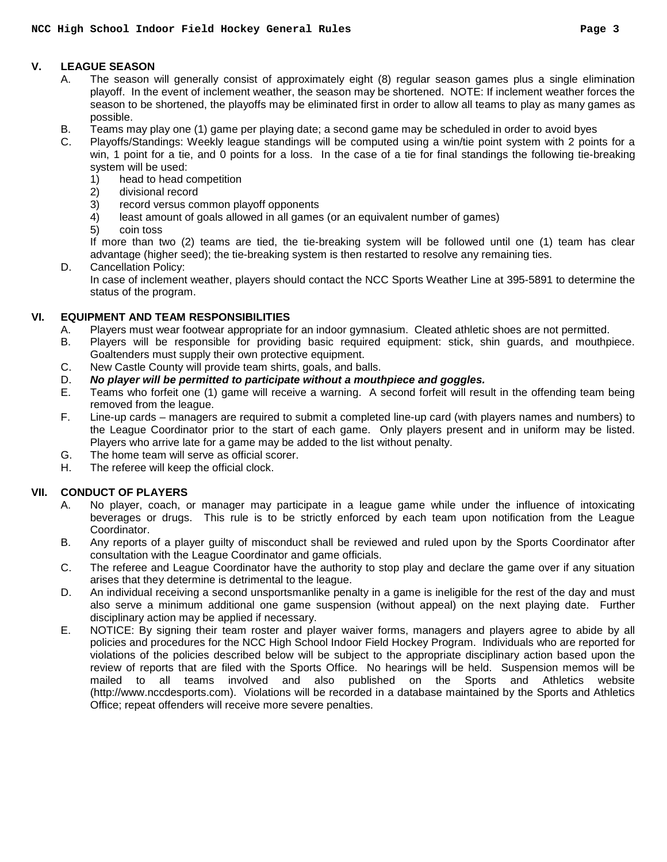## **V. LEAGUE SEASON**

- A. The season will generally consist of approximately eight (8) regular season games plus a single elimination playoff. In the event of inclement weather, the season may be shortened. NOTE: If inclement weather forces the season to be shortened, the playoffs may be eliminated first in order to allow all teams to play as many games as possible.
- B. Teams may play one (1) game per playing date; a second game may be scheduled in order to avoid byes
- C. Playoffs/Standings: Weekly league standings will be computed using a win/tie point system with 2 points for a win, 1 point for a tie, and 0 points for a loss. In the case of a tie for final standings the following tie-breaking system will be used:
	- 1) head to head competition
	- 2) divisional record
	- 3) record versus common playoff opponents
	- 4) least amount of goals allowed in all games (or an equivalent number of games)
	- 5) coin toss

If more than two (2) teams are tied, the tie-breaking system will be followed until one (1) team has clear advantage (higher seed); the tie-breaking system is then restarted to resolve any remaining ties.

D. Cancellation Policy:

In case of inclement weather, players should contact the NCC Sports Weather Line at 395-5891 to determine the status of the program.

## **VI. EQUIPMENT AND TEAM RESPONSIBILITIES**

- A. Players must wear footwear appropriate for an indoor gymnasium. Cleated athletic shoes are not permitted.
- B. Players will be responsible for providing basic required equipment: stick, shin guards, and mouthpiece. Goaltenders must supply their own protective equipment.
- C. New Castle County will provide team shirts, goals, and balls.
- D. **No player will be permitted to participate without a mouthpiece and goggles.**<br>E. Teams who forfeit one (1) game will receive a warning. A second forfeit will resu
- Teams who forfeit one (1) game will receive a warning. A second forfeit will result in the offending team being removed from the league.
- F. Line-up cards managers are required to submit a completed line-up card (with players names and numbers) to the League Coordinator prior to the start of each game. Only players present and in uniform may be listed. Players who arrive late for a game may be added to the list without penalty.
- G. The home team will serve as official scorer.<br>H. The referee will keep the official clock.
- The referee will keep the official clock.

# **VII. CONDUCT OF PLAYERS**

- A. No player, coach, or manager may participate in a league game while under the influence of intoxicating beverages or drugs. This rule is to be strictly enforced by each team upon notification from the League Coordinator.
- B. Any reports of a player guilty of misconduct shall be reviewed and ruled upon by the Sports Coordinator after consultation with the League Coordinator and game officials.
- C. The referee and League Coordinator have the authority to stop play and declare the game over if any situation arises that they determine is detrimental to the league.
- D. An individual receiving a second unsportsmanlike penalty in a game is ineligible for the rest of the day and must also serve a minimum additional one game suspension (without appeal) on the next playing date. Further disciplinary action may be applied if necessary.
- E. NOTICE: By signing their team roster and player waiver forms, managers and players agree to abide by all policies and procedures for the NCC High School Indoor Field Hockey Program. Individuals who are reported for violations of the policies described below will be subject to the appropriate disciplinary action based upon the review of reports that are filed with the Sports Office. No hearings will be held. Suspension memos will be mailed to all teams involved and also published on the Sports and Athletics website (http://www.nccdesports.com). Violations will be recorded in a database maintained by the Sports and Athletics Office; repeat offenders will receive more severe penalties.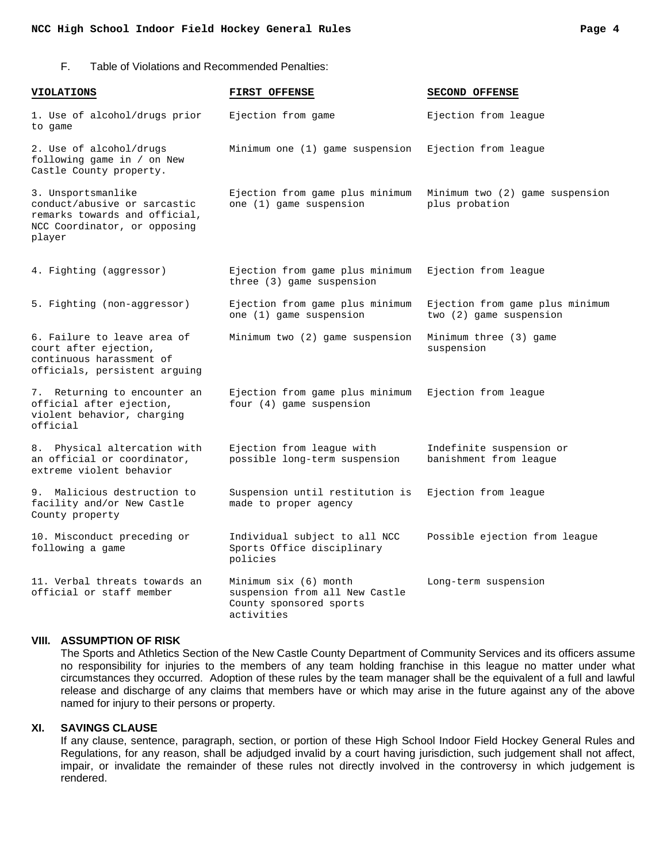#### **NCC High School Indoor Field Hockey General Rules Page 4**

#### F. Table of Violations and Recommended Penalties:

| <b>VIOLATIONS</b>                                                                                                             | <b>FIRST OFFENSE</b>                                                                             | <b>SECOND OFFENSE</b>                                      |
|-------------------------------------------------------------------------------------------------------------------------------|--------------------------------------------------------------------------------------------------|------------------------------------------------------------|
| 1. Use of alcohol/drugs prior<br>to game                                                                                      | Ejection from game                                                                               | Ejection from league                                       |
| 2. Use of alcohol/drugs<br>following game in / on New<br>Castle County property.                                              | Minimum one (1) game suspension                                                                  | Ejection from leaque                                       |
| 3. Unsportsmanlike<br>conduct/abusive or sarcastic<br>remarks towards and official,<br>NCC Coordinator, or opposing<br>player | Ejection from game plus minimum<br>one (1) game suspension                                       | Minimum two (2) game suspension<br>plus probation          |
| 4. Fighting (aggressor)                                                                                                       | Ejection from game plus minimum<br>three (3) game suspension                                     | Ejection from league                                       |
| 5. Fighting (non-aggressor)                                                                                                   | Ejection from game plus minimum<br>one (1) game suspension                                       | Ejection from game plus minimum<br>two (2) game suspension |
| 6. Failure to leave area of<br>court after ejection,<br>continuous harassment of<br>officials, persistent arquing             | Minimum two (2) game suspension                                                                  | Minimum three (3) game<br>suspension                       |
| 7. Returning to encounter an<br>official after ejection,<br>violent behavior, charging<br>official                            | Ejection from game plus minimum<br>four (4) game suspension                                      | Ejection from league                                       |
| 8. Physical altercation with<br>an official or coordinator,<br>extreme violent behavior                                       | Ejection from league with<br>possible long-term suspension                                       | Indefinite suspension or<br>banishment from league         |
| 9. Malicious destruction to<br>facility and/or New Castle<br>County property                                                  | Suspension until restitution is<br>made to proper agency                                         | Ejection from leaque                                       |
| 10. Misconduct preceding or<br>following a game                                                                               | Individual subject to all NCC<br>Sports Office disciplinary<br>policies                          | Possible ejection from league                              |
| 11. Verbal threats towards an<br>official or staff member                                                                     | Minimum six (6) month<br>suspension from all New Castle<br>County sponsored sports<br>activities | Long-term suspension                                       |

#### **VIII. ASSUMPTION OF RISK**

The Sports and Athletics Section of the New Castle County Department of Community Services and its officers assume no responsibility for injuries to the members of any team holding franchise in this league no matter under what circumstances they occurred. Adoption of these rules by the team manager shall be the equivalent of a full and lawful release and discharge of any claims that members have or which may arise in the future against any of the above named for injury to their persons or property.

#### **XI. SAVINGS CLAUSE**

If any clause, sentence, paragraph, section, or portion of these High School Indoor Field Hockey General Rules and Regulations, for any reason, shall be adjudged invalid by a court having jurisdiction, such judgement shall not affect, impair, or invalidate the remainder of these rules not directly involved in the controversy in which judgement is rendered.